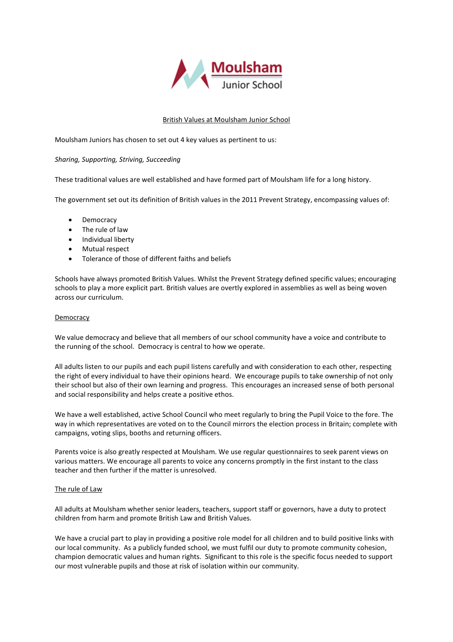

# British Values at Moulsham Junior School

Moulsham Juniors has chosen to set out 4 key values as pertinent to us:

## *Sharing, Supporting, Striving, Succeeding*

These traditional values are well established and have formed part of Moulsham life for a long history.

The government set out its definition of British values in the 2011 Prevent Strategy, encompassing values of:

- Democracy
- The rule of law
- Individual liberty
- Mutual respect
- Tolerance of those of different faiths and beliefs

Schools have always promoted British Values. Whilst the Prevent Strategy defined specific values; encouraging schools to play a more explicit part. British values are overtly explored in assemblies as well as being woven across our curriculum.

## Democracy

We value democracy and believe that all members of our school community have a voice and contribute to the running of the school. Democracy is central to how we operate.

All adults listen to our pupils and each pupil listens carefully and with consideration to each other, respecting the right of every individual to have their opinions heard. We encourage pupils to take ownership of not only their school but also of their own learning and progress. This encourages an increased sense of both personal and social responsibility and helps create a positive ethos.

We have a well established, active School Council who meet regularly to bring the Pupil Voice to the fore. The way in which representatives are voted on to the Council mirrors the election process in Britain; complete with campaigns, voting slips, booths and returning officers.

Parents voice is also greatly respected at Moulsham. We use regular questionnaires to seek parent views on various matters. We encourage all parents to voice any concerns promptly in the first instant to the class teacher and then further if the matter is unresolved.

#### The rule of Law

All adults at Moulsham whether senior leaders, teachers, support staff or governors, have a duty to protect children from harm and promote British Law and British Values.

We have a crucial part to play in providing a positive role model for all children and to build positive links with our local community. As a publicly funded school, we must fulfil our duty to promote community cohesion, champion democratic values and human rights. Significant to this role is the specific focus needed to support our most vulnerable pupils and those at risk of isolation within our community.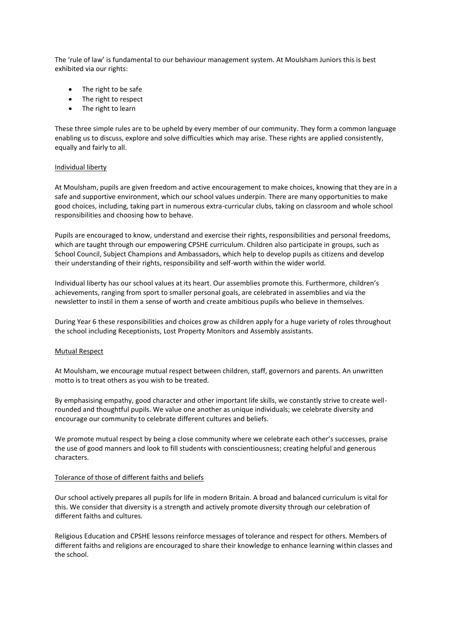The 'rule of law' is fundamental to our behaviour management system. At Moulsham Juniors this is best exhibited via our rights:

- The right to be safe
- The right to respect
- The right to learn

These three simple rules are to be upheld by every member of our community. They form a common language enabling us to discuss, explore and solve difficulties which may arise. These rights are applied consistently, equally and fairly to all.

### Individual liberty

At Moulsham, pupils are given freedom and active encouragement to make choices, knowing that they are in a safe and supportive environment, which our school values underpin. There are many opportunities to make good choices, including, taking part in numerous extra-curricular clubs, taking on classroom and whole school responsibilities and choosing how to behave.

Pupils are encouraged to know, understand and exercise their rights, responsibilities and personal freedoms, which are taught through our empowering CPSHE curriculum. Children also participate in groups, such as School Council, Subject Champions and Ambassadors, which help to develop pupils as citizens and develop their understanding of their rights, responsibility and self-worth within the wider world.

Individual liberty has our school values at its heart. Our assemblies promote this. Furthermore, children's achievements, ranging from sport to smaller personal goals, are celebrated in assemblies and via the newsletter to instil in them a sense of worth and create ambitious pupils who believe in themselves.

During Year 6 these responsibilities and choices grow as children apply for a huge variety of roles throughout the school including Receptionists, Lost Property Monitors and Assembly assistants.

# Mutual Respect

At Moulsham, we encourage mutual respect between children, staff, governors and parents. An unwritten motto is to treat others as you wish to be treated.

By emphasising empathy, good character and other important life skills, we constantly strive to create wellrounded and thoughtful pupils. We value one another as unique individuals; we celebrate diversity and encourage our community to celebrate different cultures and beliefs.

We promote mutual respect by being a close community where we celebrate each other's successes, praise the use of good manners and look to fill students with conscientiousness; creating helpful and generous characters.

#### Tolerance of those of different faiths and beliefs

Our school actively prepares all pupils for life in modern Britain. A broad and balanced curriculum is vital for this. We consider that diversity is a strength and actively promote diversity through our celebration of different faiths and cultures.

Religious Education and CPSHE lessons reinforce messages of tolerance and respect for others. Members of different faiths and religions are encouraged to share their knowledge to enhance learning within classes and the school.